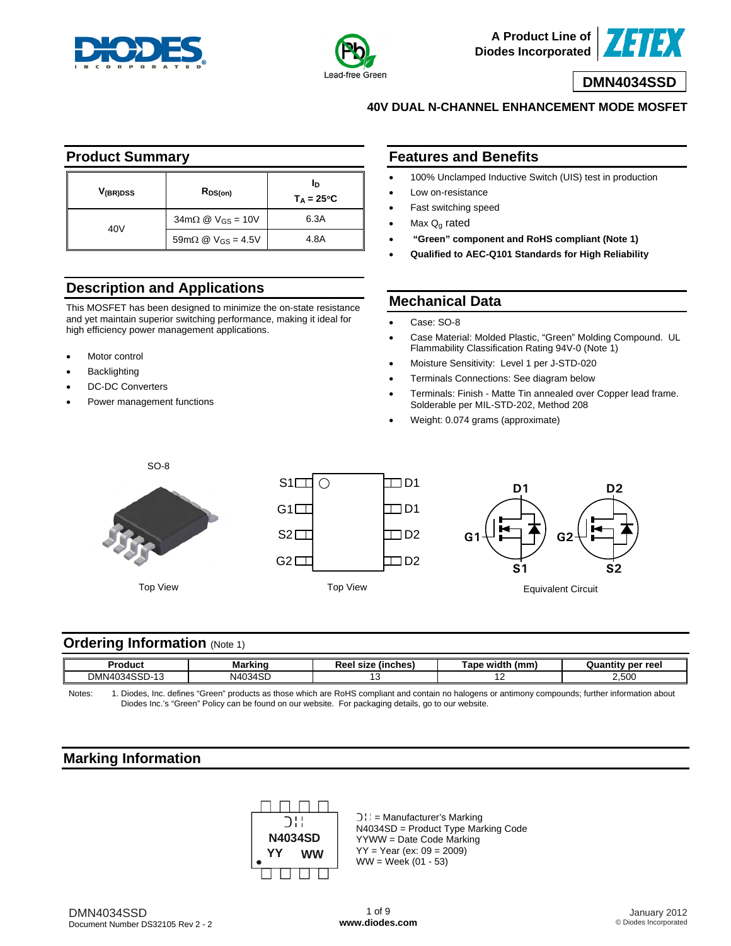



**A Product Line of Diodes Incorporated**

### **DMN4034SSD**

**40V DUAL N-CHANNEL ENHANCEMENT MODE MOSFET**

#### **Product Summary**

| V <sub>(BR)DSS</sub> | $R_{DS(on)}$                                                       | In<br>$T_A = 25^{\circ}C$ |  |  |
|----------------------|--------------------------------------------------------------------|---------------------------|--|--|
| 40V                  | $34 \text{m}\Omega \text{ } \textcircled{2}$ V <sub>GS</sub> = 10V | 6.3A                      |  |  |
|                      | 59m $\Omega$ @ V <sub>GS</sub> = 4.5V                              | 4.8A                      |  |  |

# **Description and Applications**

This MOSFET has been designed to minimize the on-state resistance and yet maintain superior switching performance, making it ideal for high efficiency power management applications.

- Motor control
- **Backlighting**
- DC-DC Converters
- Power management functions

### **Features and Benefits**

- 100% Unclamped Inductive Switch (UIS) test in production
- Low on-resistance
- Fast switching speed
- Max  $Q_q$  rated
- **"Green" component and RoHS compliant (Note 1)**
- **Qualified to AEC-Q101 Standards for High Reliability**

### **Mechanical Data**

- Case: SO-8
- Case Material: Molded Plastic, "Green" Molding Compound. UL Flammability Classification Rating 94V-0 (Note 1)
- Moisture Sensitivity: Level 1 per J-STD-020
- Terminals Connections: See diagram below
- Terminals: Finish Matte Tin annealed over Copper lead frame. Solderable per MIL-STD-202, Method 208
- Weight: 0.074 grams (approximate)







#### **Ordering Information** (Note 1)

| "oduc.                                                                        | مرتبات<br>MK<br>-- | <b>linches</b><br><b>CITA</b><br>- 500<br>31ZC<br>1661 | Tape width<br>(mm | per ree |
|-------------------------------------------------------------------------------|--------------------|--------------------------------------------------------|-------------------|---------|
| 100 <sub>5</sub><br><b>DAM</b><br>$\sim$<br>MN4(<br>.34.<br>- שככ<br>∨וש<br>. | N4034SF<br>134     |                                                        |                   | 2,500   |

Notes: 1. Diodes, Inc. defines "Green" products as those which are RoHS compliant and contain no halogens or antimony compounds; further information about Diodes Inc.'s "Green" Policy can be found on our website. For packaging details, go to our website.

## **Marking Information**



 $D|| =$  Manufacturer's Marking N4034SD = Product Type Marking Code YYWW = Date Code Marking  $YY = Year (ex: 09 = 2009)$  $WW = Week (01 - 53)$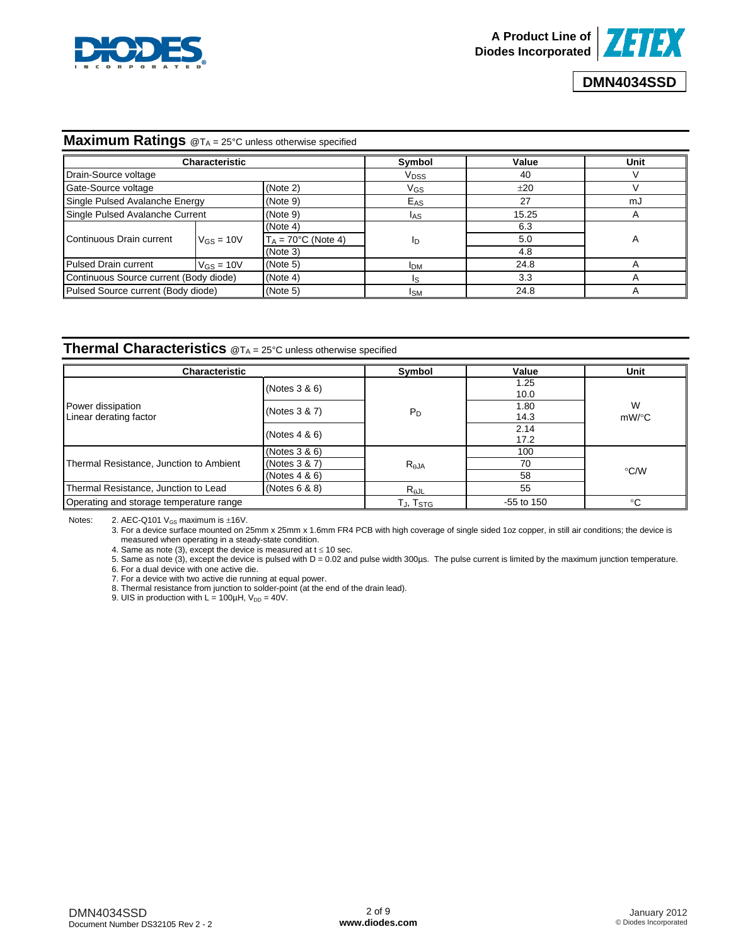

### **Maximum Ratings** @T<sub>A</sub> = 25°C unless otherwise specified

|                                        | <b>Characteristic</b>                       |                               | Symbol           | Value | Unit         |
|----------------------------------------|---------------------------------------------|-------------------------------|------------------|-------|--------------|
| Drain-Source voltage                   |                                             |                               | V <sub>DSS</sub> | 40    |              |
| Gate-Source voltage<br>(Note 2)        |                                             |                               | VGS              | ±20   |              |
| Single Pulsed Avalanche Energy         |                                             | (Note 9)                      | $E_{AS}$         | 27    | mJ           |
|                                        | Single Pulsed Avalanche Current<br>(Note 9) |                               | <b>IAS</b>       | 15.25 | A            |
|                                        | $V_{GS} = 10V$                              | (Note 4)                      | ID               | 6.3   |              |
| Continuous Drain current               |                                             | $T_A = 70^{\circ}$ C (Note 4) |                  | 5.0   | $\mathsf{A}$ |
|                                        |                                             | (Note 3)                      |                  | 4.8   |              |
| <b>Pulsed Drain current</b>            | $V_{GS} = 10V$                              | (Note 5)                      | <b>IDM</b>       | 24.8  |              |
| Continuous Source current (Body diode) |                                             | (Note 4)                      | ıs               | 3.3   |              |
| Pulsed Source current (Body diode)     |                                             | (Note 5)                      | ISM              | 24.8  |              |

#### **Thermal Characteristics** @T<sub>A</sub> = 25°C unless otherwise specified

| <b>Characteristic</b>                       |                  | Symbol               | Value        | Unit          |
|---------------------------------------------|------------------|----------------------|--------------|---------------|
|                                             | (Notes 3 & 6)    |                      | 1.25<br>10.0 |               |
| Power dissipation<br>Linear derating factor | (Notes 3 & 7)    | $P_D$                | 1.80<br>14.3 | W<br>$mW$ /°C |
|                                             | (Notes $4 & 6$ ) |                      | 2.14<br>17.2 |               |
|                                             | (Notes 3 & 6)    |                      | 100          |               |
| Thermal Resistance, Junction to Ambient     | (Notes 3 & 7)    | $R_{\theta}$ JA      | 70           |               |
|                                             | (Notes $4 & 6$ ) |                      | 58           | $\degree$ C/W |
| Thermal Resistance, Junction to Lead        | (Notes 6 8 8)    | $R_{\theta$ JL       | 55           |               |
| Operating and storage temperature range     |                  | TJ, T <sub>STG</sub> | $-55$ to 150 | $^{\circ}$ C  |

Notes: 2. AEC-Q101  $V_{GS}$  maximum is  $\pm$ 16V.

3. For a device surface mounted on 25mm x 25mm x 1.6mm FR4 PCB with high coverage of single sided 1oz copper, in still air conditions; the device is measured when operating in a steady-state condition.

4. Same as note (3), except the device is measured at  $t \le 10$  sec.

5. Same as note (3), except the device is pulsed with D = 0.02 and pulse width 300µs. The pulse current is limited by the maximum junction temperature. 6. For a dual device with one active die.

7. For a device with two active die running at equal power.

8. Thermal resistance from junction to solder-point (at the end of the drain lead).

9. UIS in production with  $L = 100 \mu H$ ,  $V_{DD} = 40V$ .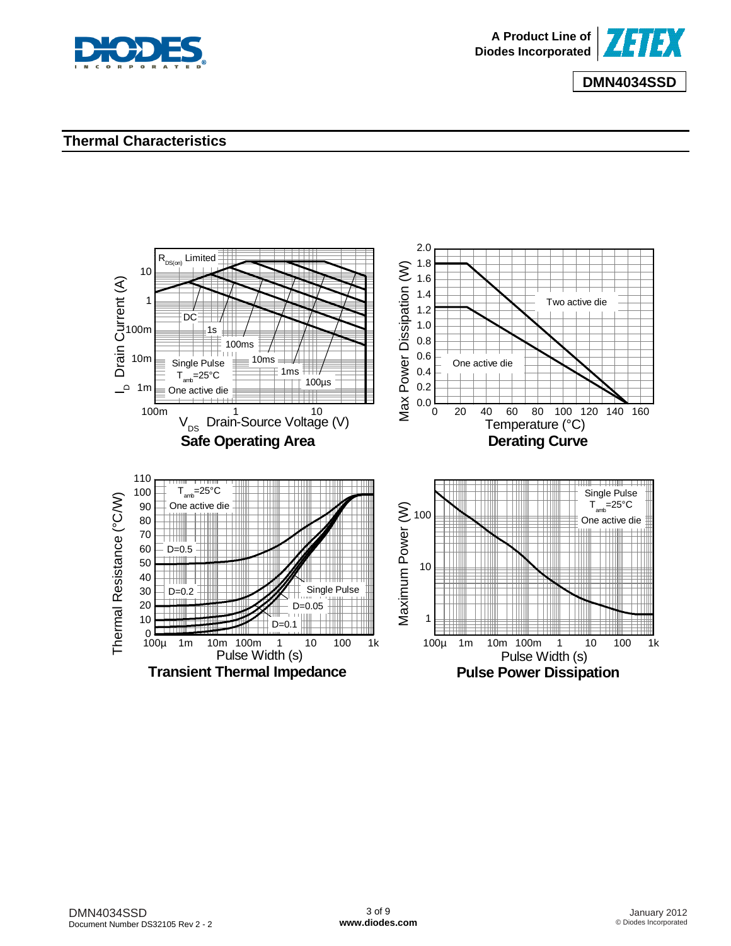

# **Thermal Characteristics**

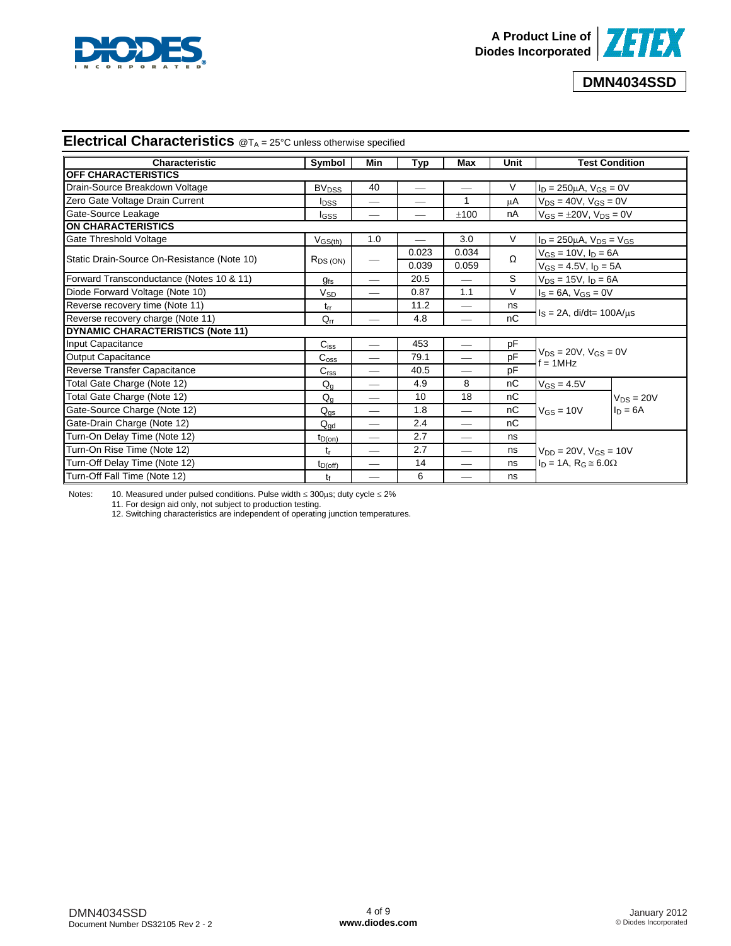

# **Electrical Characteristics** @TA = 25°C unless otherwise specified

| <b>Characteristic</b>                       | Symbol                             | Min                      | <b>Typ</b>               | Max                      | Unit |                                               | <b>Test Condition</b> |  |
|---------------------------------------------|------------------------------------|--------------------------|--------------------------|--------------------------|------|-----------------------------------------------|-----------------------|--|
| <b>OFF CHARACTERISTICS</b>                  |                                    |                          |                          |                          |      |                                               |                       |  |
| Drain-Source Breakdown Voltage              | <b>BV<sub>DSS</sub></b>            | 40                       |                          |                          | V    | $I_D = 250 \mu A$ , $V_{GS} = 0V$             |                       |  |
| Zero Gate Voltage Drain Current             | <b>I</b> <sub>DSS</sub>            |                          |                          | 1                        | μA   | $V_{DS} = 40V$ , $V_{GS} = 0V$                |                       |  |
| Gate-Source Leakage                         | <b>I</b> GSS                       |                          |                          | ±100                     | nA   | $V_{GS} = \pm 20V$ , $V_{DS} = 0V$            |                       |  |
| <b>ON CHARACTERISTICS</b>                   |                                    |                          |                          |                          |      |                                               |                       |  |
| Gate Threshold Voltage                      | $V$ <sub>GS<math>(th)</math></sub> | 1.0                      | $\overline{\phantom{0}}$ | 3.0                      | V    | $I_D = 250 \mu A$ , $V_{DS} = V_{GS}$         |                       |  |
| Static Drain-Source On-Resistance (Note 10) |                                    |                          | 0.023                    | 0.034                    | Ω    | $V_{GS} = 10V$ , $I_D = 6A$                   |                       |  |
|                                             | $R_{DS(ON)}$                       |                          | 0.039                    | 0.059                    |      | $V_{GS} = 4.5V$ , $I_D = 5A$                  |                       |  |
| Forward Transconductance (Notes 10 & 11)    | $g_{fs}$                           | $\overline{\phantom{0}}$ | 20.5                     | $\overline{\phantom{0}}$ | S    | $V_{DS} = 15V$ , $I_D = 6A$                   |                       |  |
| Diode Forward Voltage (Note 10)             | <b>V<sub>SD</sub></b>              | $\overline{\phantom{0}}$ | 0.87                     | 1.1                      | V    | $I_S = 6A$ , $V_{GS} = 0V$                    |                       |  |
| Reverse recovery time (Note 11)             | $t_{rr}$                           |                          | 11.2                     |                          | ns   |                                               |                       |  |
| Reverse recovery charge (Note 11)           | $Q_{rr}$                           |                          | 4.8                      |                          | nC   | $IS = 2A$ , di/dt= 100A/ $\mu$ s              |                       |  |
| <b>DYNAMIC CHARACTERISTICS (Note 11)</b>    |                                    |                          |                          |                          |      |                                               |                       |  |
| Input Capacitance                           | $C_{iss}$                          | $\overline{\phantom{0}}$ | 453                      |                          | pF   |                                               |                       |  |
| <b>Output Capacitance</b>                   | $C_{\rm oss}$                      |                          | 79.1                     |                          | pF   | $V_{DS} = 20V$ , $V_{GS} = 0V$<br>$f = 1$ MHz |                       |  |
| Reverse Transfer Capacitance                | C <sub>rss</sub>                   |                          | 40.5                     |                          | pF   |                                               |                       |  |
| Total Gate Charge (Note 12)                 | $Q_{q}$                            |                          | 4.9                      | 8                        | nC   | $V_{GS} = 4.5V$                               |                       |  |
| Total Gate Charge (Note 12)                 | $Q_q$                              | $\overline{\phantom{0}}$ | 10                       | 18                       | nC   |                                               | $V_{DS} = 20V$        |  |
| Gate-Source Charge (Note 12)                | $Q_{gs}$                           | $\overline{\phantom{0}}$ | 1.8                      |                          | nC   | $V_{GS} = 10V$                                | $I_D = 6A$            |  |
| Gate-Drain Charge (Note 12)                 | $Q_{\text{gd}}$                    | $\overline{\phantom{0}}$ | 2.4                      |                          | nC   |                                               |                       |  |
| Turn-On Delay Time (Note 12)                | $t_{D(on)}$                        | $\overline{\phantom{0}}$ | 2.7                      |                          | ns   |                                               |                       |  |
| Turn-On Rise Time (Note 12)                 | tr                                 | $\overline{\phantom{0}}$ | 2.7                      |                          | ns   | $V_{DD} = 20V$ , $V_{GS} = 10V$               |                       |  |
| Turn-Off Delay Time (Note 12)               | $t_{D(off)}$                       | $\overline{\phantom{0}}$ | 14                       | $\overline{\phantom{0}}$ | ns   | $I_D = 1A$ , $R_G \approx 6.0\Omega$          |                       |  |
| Turn-Off Fall Time (Note 12)                | tŕ                                 | $\overline{\phantom{0}}$ | 6                        | $\overline{\phantom{0}}$ | ns   |                                               |                       |  |

Notes: 10. Measured under pulsed conditions. Pulse width ≤ 300μs; duty cycle ≤ 2%

11. For design aid only, not subject to production testing.

12. Switching characteristics are independent of operating junction temperatures.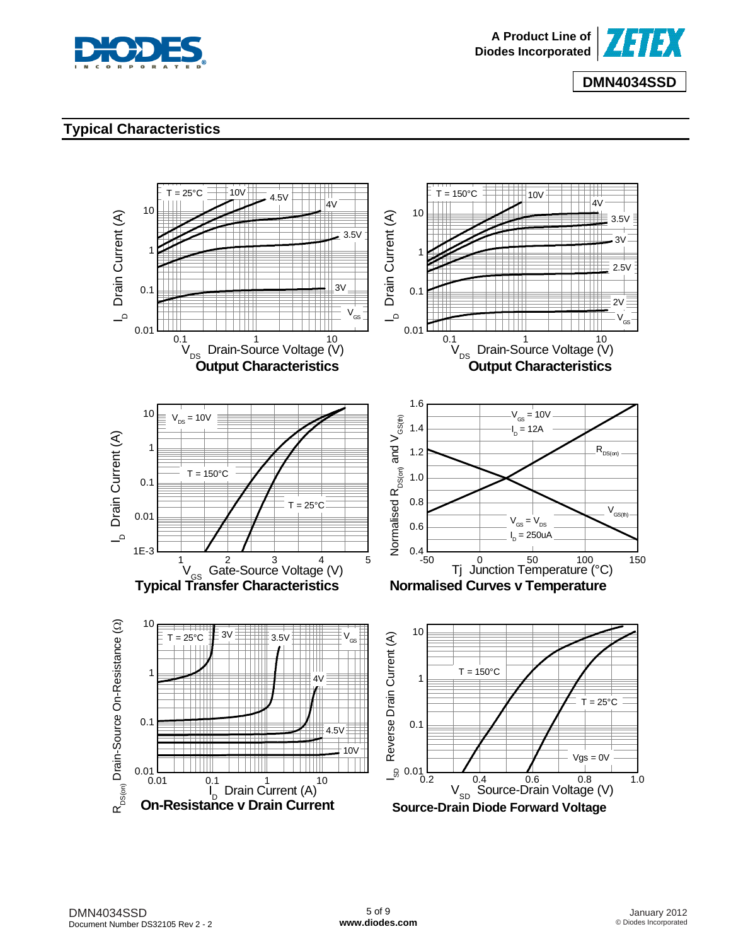



# **Typical Characteristics**

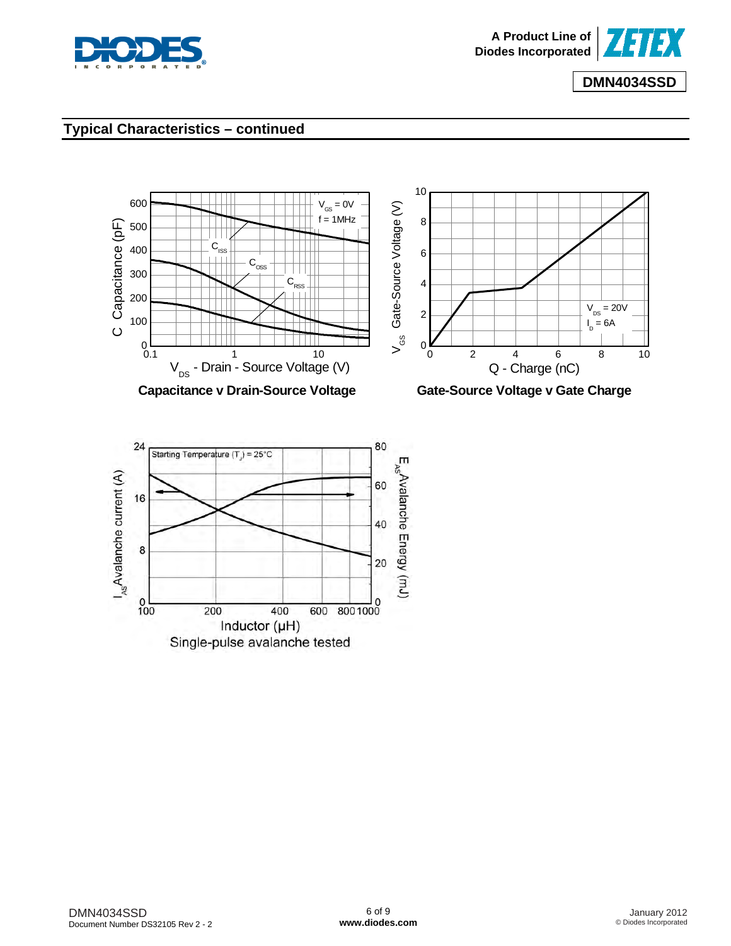

# **Typical Characteristics – continued**

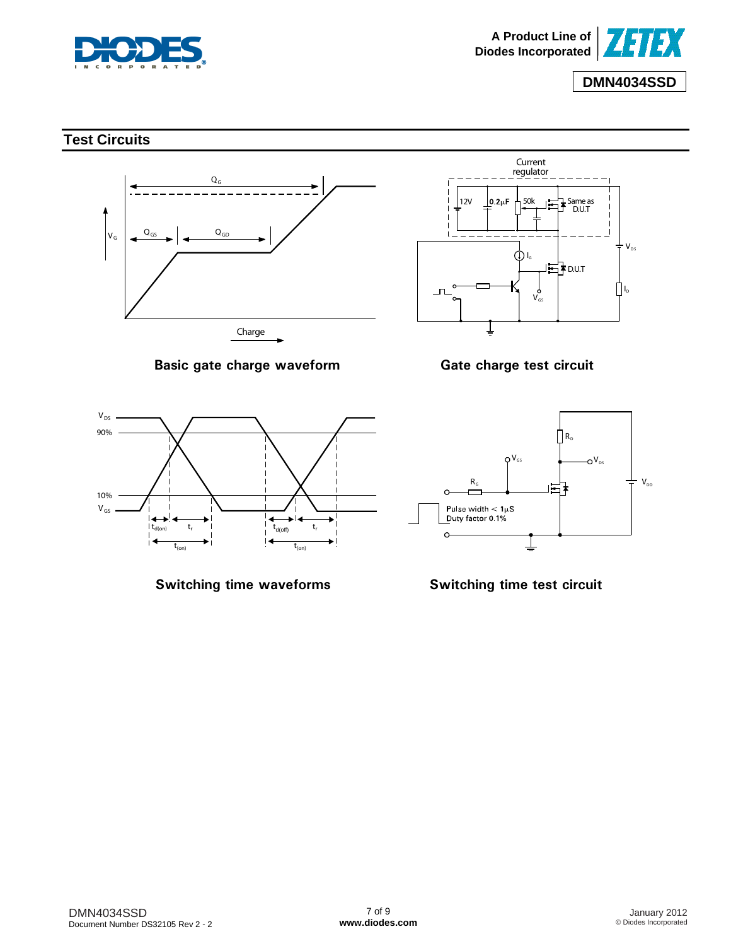

# **Test Circuits**



**Basic gate charge waveform**



**Gate charge test circuit**



**Switching time waveforms**



**Switching time test circuit**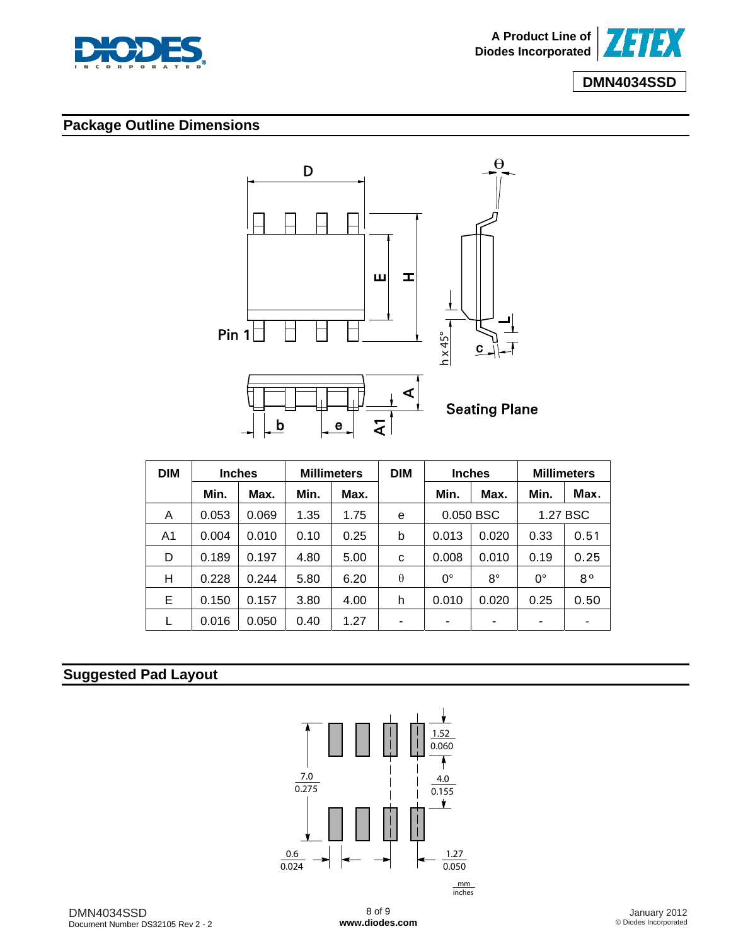



# **Package Outline Dimensions**



| <b>DIM</b> |       | <b>Inches</b> | <b>Millimeters</b> |      | <b>DIM</b> | <b>Inches</b> |             | <b>Millimeters</b> |             |
|------------|-------|---------------|--------------------|------|------------|---------------|-------------|--------------------|-------------|
|            | Min.  | Max.          | Min.               | Max. |            | Min.          | Max.        | Min.               | Max.        |
| A          | 0.053 | 0.069         | 1.35               | 1.75 | e          | 0.050 BSC     |             | 1.27 BSC           |             |
| A1         | 0.004 | 0.010         | 0.10               | 0.25 | b          | 0.013         | 0.020       | 0.33               | 0.51        |
| D          | 0.189 | 0.197         | 4.80               | 5.00 | C          | 0.008         | 0.010       | 0.19               | 0.25        |
| Н          | 0.228 | 0.244         | 5.80               | 6.20 | $\theta$   | 0°            | $8^{\circ}$ | $0^{\circ}$        | $8^{\circ}$ |
| Е          | 0.150 | 0.157         | 3.80               | 4.00 | h          | 0.010         | 0.020       | 0.25               | 0.50        |
|            | 0.016 | 0.050         | 0.40               | 1.27 | -          | ۰             |             | -                  |             |

# **Suggested Pad Layout**